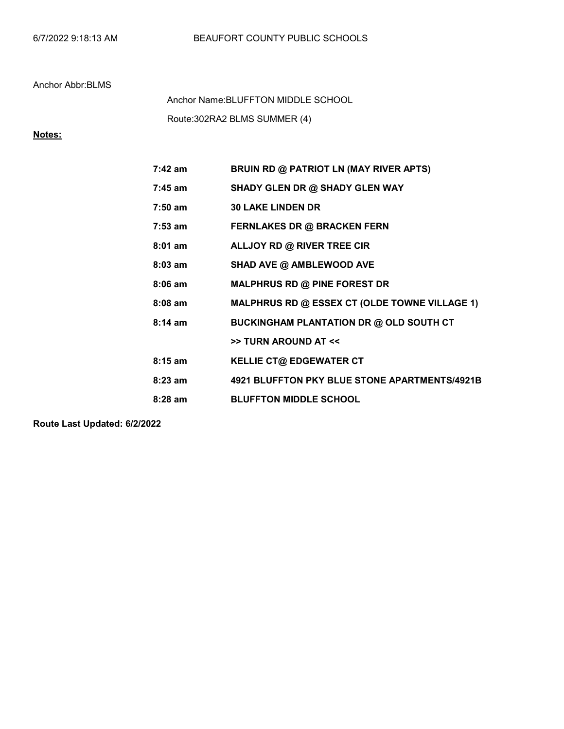Route:302RA2 BLMS SUMMER (4) Anchor Name:BLUFFTON MIDDLE SCHOOL

# Notes:

| $7:42$ am | <b>BRUIN RD @ PATRIOT LN (MAY RIVER APTS)</b>        |
|-----------|------------------------------------------------------|
| $7:45$ am | SHADY GLEN DR @ SHADY GLEN WAY                       |
| $7:50$ am | <b>30 LAKE LINDEN DR</b>                             |
| $7:53$ am | <b>FERNLAKES DR @ BRACKEN FERN</b>                   |
| $8:01$ am | ALLJOY RD @ RIVER TREE CIR                           |
| $8:03$ am | SHAD AVE @ AMBLEWOOD AVE                             |
| $8:06$ am | <b>MALPHRUS RD @ PINE FOREST DR</b>                  |
| $8:08$ am | <b>MALPHRUS RD @ ESSEX CT (OLDE TOWNE VILLAGE 1)</b> |
| $8:14$ am | BUCKINGHAM PLANTATION DR @ OLD SOUTH CT              |
|           | >> TURN AROUND AT <<                                 |
| $8:15$ am | <b>KELLIE CT@ EDGEWATER CT</b>                       |
| $8:23$ am | 4921 BLUFFTON PKY BLUE STONE APARTMENTS/4921B        |
| $8:28$ am | <b>BLUFFTON MIDDLE SCHOOL</b>                        |

Route Last Updated: 6/2/2022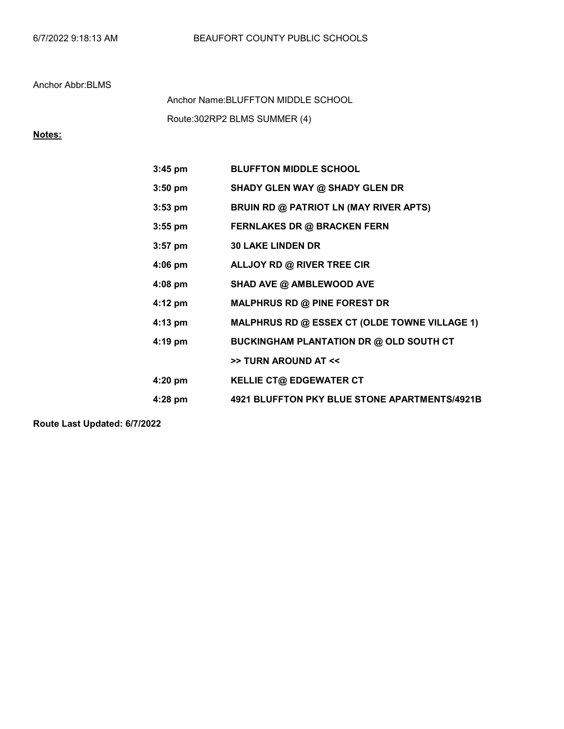Route:302RP2 BLMS SUMMER (4) Anchor Name:BLUFFTON MIDDLE SCHOOL

# Notes:

| $3:45$ pm         | <b>BLUFFTON MIDDLE SCHOOL</b>                        |
|-------------------|------------------------------------------------------|
| $3:50$ pm         | SHADY GLEN WAY @ SHADY GLEN DR                       |
| $3:53$ pm         | BRUIN RD @ PATRIOT LN (MAY RIVER APTS)               |
| $3:55$ pm         | <b>FERNLAKES DR @ BRACKEN FERN</b>                   |
| $3:57$ pm         | <b>30 LAKE LINDEN DR</b>                             |
| $4:06$ pm         | ALLJOY RD @ RIVER TREE CIR                           |
| $4:08$ pm         | SHAD AVE @ AMBLEWOOD AVE                             |
| $4:12 \text{ pm}$ | <b>MALPHRUS RD @ PINE FOREST DR</b>                  |
| $4:13$ pm         | <b>MALPHRUS RD @ ESSEX CT (OLDE TOWNE VILLAGE 1)</b> |
| $4:19$ pm         | <b>BUCKINGHAM PLANTATION DR @ OLD SOUTH CT</b>       |
|                   | >> TURN AROUND AT <<                                 |
| 4:20 pm           | <b>KELLIE CT@ EDGEWATER CT</b>                       |
| $4:28$ pm         | 4921 BLUFFTON PKY BLUE STONE APARTMENTS/4921B        |

Route Last Updated: 6/7/2022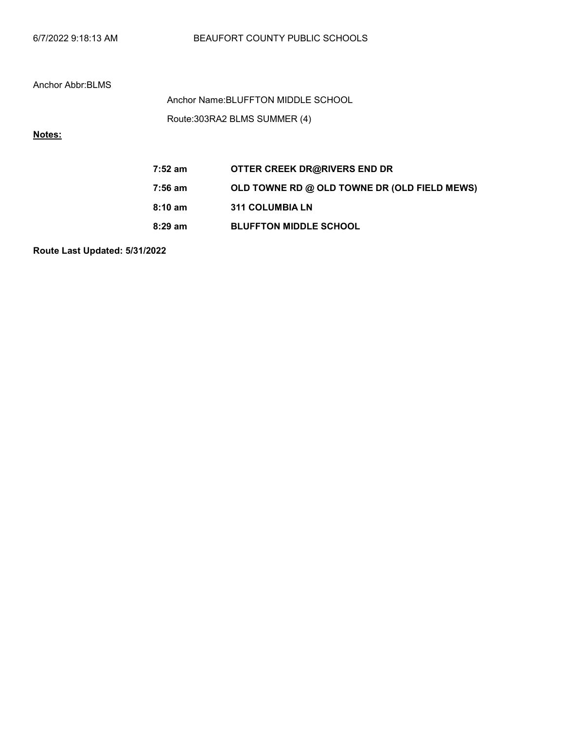| 6/7/2022 9:18:13 AM |  |  |
|---------------------|--|--|
|---------------------|--|--|

Route:303RA2 BLMS SUMMER (4) Anchor Name:BLUFFTON MIDDLE SCHOOL

# Notes:

| 7:52 am           | OTTER CREEK DR@RIVERS END DR                 |
|-------------------|----------------------------------------------|
| 7:56 am           | OLD TOWNE RD @ OLD TOWNE DR (OLD FIELD MEWS) |
| $8:10 \text{ am}$ | <b>311 COLUMBIA LN</b>                       |
| $8:29$ am         | <b>BLUFFTON MIDDLE SCHOOL</b>                |

Route Last Updated: 5/31/2022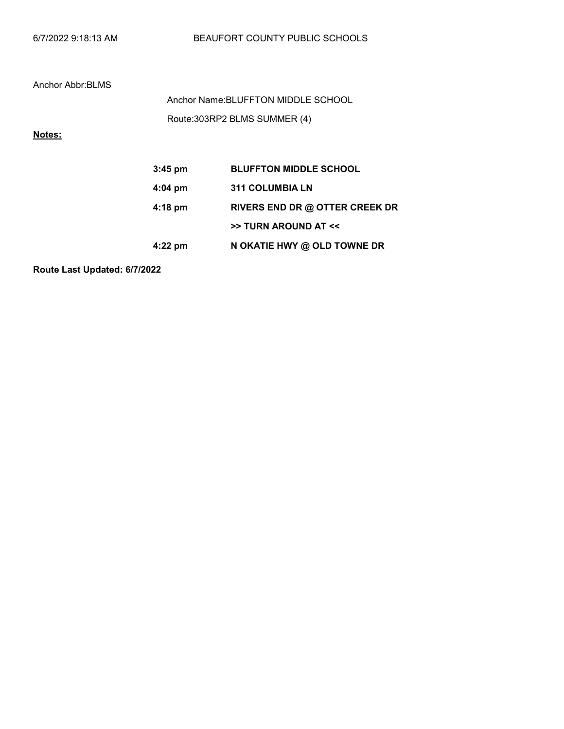| 6/7/2022 9:18:13 AM |  |  |
|---------------------|--|--|
|---------------------|--|--|

Route:303RP2 BLMS SUMMER (4) Anchor Name:BLUFFTON MIDDLE SCHOOL

# Notes:

| $3:45$ pm | <b>BLUFFTON MIDDLE SCHOOL</b>  |
|-----------|--------------------------------|
| $4:04$ pm | <b>311 COLUMBIA LN</b>         |
| $4:18$ pm | RIVERS END DR @ OTTER CREEK DR |
|           | >> TURN AROUND AT <<           |
| $4:22$ pm | N OKATIE HWY @ OLD TOWNE DR    |

Route Last Updated: 6/7/2022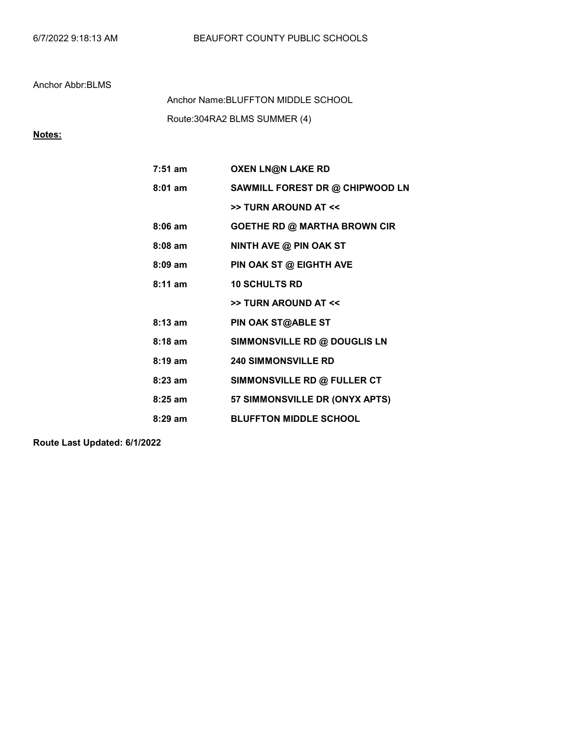Route:304RA2 BLMS SUMMER (4) Anchor Name:BLUFFTON MIDDLE SCHOOL

## Notes:

| $7:51$ am         | <b>OXEN LN@N LAKE RD</b>            |
|-------------------|-------------------------------------|
| $8:01$ am         | SAWMILL FOREST DR @ CHIPWOOD LN     |
|                   | >> TURN AROUND AT <<                |
| $8:06$ am         | <b>GOETHE RD @ MARTHA BROWN CIR</b> |
| $8:08$ am         | NINTH AVE @ PIN OAK ST              |
| $8:09$ am         | PIN OAK ST @ EIGHTH AVE             |
| $8:11$ am         | <b>10 SCHULTS RD</b>                |
|                   | >> TURN AROUND AT <<                |
| $8:13$ am         | PIN OAK ST@ABLE ST                  |
| $8:18$ am         | SIMMONSVILLE RD @ DOUGLIS LN        |
| $8:19 \text{ am}$ | <b>240 SIMMONSVILLE RD</b>          |
| $8:23$ am         | SIMMONSVILLE RD @ FULLER CT         |
| $8:25$ am         | 57 SIMMONSVILLE DR (ONYX APTS)      |
| $8:29$ am         | <b>BLUFFTON MIDDLE SCHOOL</b>       |

Route Last Updated: 6/1/2022